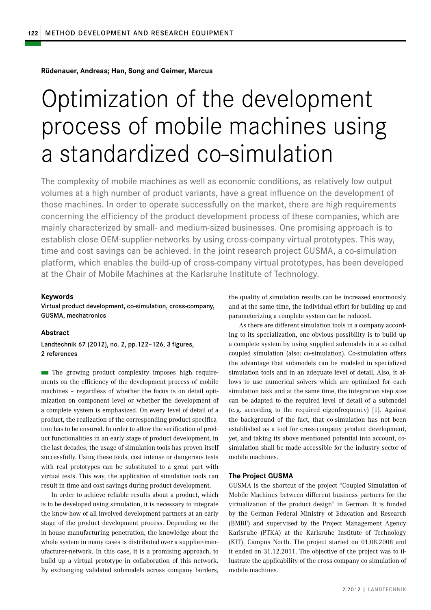**Rüdenauer, Andreas; Han, Song and Geimer, Marcus** 

# Optimization of the development process of mobile machines using a standardized co-simulation

The complexity of mobile machines as well as economic conditions, as relatively low output volumes at a high number of product variants, have a great influence on the development of those machines. In order to operate successfully on the market, there are high requirements concerning the efficiency of the product development process of these companies, which are mainly characterized by small- and medium-sized businesses. One promising approach is to establish close OEM-supplier-networks by using cross-company virtual prototypes. This way, time and cost savings can be achieved. In the joint research project GUSMA, a co-simulation platform, which enables the build-up of cross-company virtual prototypes, has been developed at the Chair of Mobile Machines at the Karlsruhe Institute of Technology.

#### **Keywords**

Virtual product development, co-simulation, cross-company, GUSMA, mechatronics

## **Abstract**

Landtechnik 67 (2012), no. 2, pp.122–126, 3 figures, 2 references

 $\blacksquare$  The growing product complexity imposes high requirements on the efficiency of the development process of mobile machines – regardless of whether the focus is on detail optimization on component level or whether the development of a complete system is emphasized. On every level of detail of a product, the realization of the corresponding product specification has to be ensured. In order to allow the verification of product functionalities in an early stage of product development, in the last decades, the usage of simulation tools has proven itself successfully. Using these tools, cost intense or dangerous tests with real prototypes can be substituted to a great part with virtual tests. This way, the application of simulation tools can result in time and cost savings during product development.

In order to achieve reliable results about a product, which is to be developed using simulation, it is necessary to integrate the know-how of all involved development partners at an early stage of the product development process. Depending on the in-house manufacturing penetration, the knowledge about the whole system in many cases is distributed over a supplier-manufacturer-network. In this case, it is a promising approach, to build up a virtual prototype in collaboration of this network. By exchanging validated submodels across company borders,

the quality of simulation results can be increased enormously and at the same time, the individual effort for building up and parameterizing a complete system can be reduced.

As there are different simulation tools in a company according to its specialization, one obvious possibility is to build up a complete system by using supplied submodels in a so called coupled simulation (also: co-simulation). Co-simulation offers the advantage that submodels can be modeled in specialized simulation tools and in an adequate level of detail. Also, it allows to use numerical solvers which are optimized for each simulation task and at the same time, the integration step size can be adapted to the required level of detail of a submodel (e. g. according to the required eigenfrequency) [1]. Against the background of the fact, that co-simulation has not been established as a tool for cross-company product development, yet, and taking its above mentioned potential into account, cosimulation shall be made accessible for the industry sector of mobile machines.

#### **The Project GUSMA**

GUSMA is the shortcut of the project "Coupled Simulation of Mobile Machines between different business partners for the virtualization of the product design" in German. It is funded by the German Federal Ministry of Education and Research (BMBF) and supervised by the Project Management Agency Karlsruhe (PTKA) at the Karlsruhe Institute of Technology (KIT), Campus North. The project started on 01.08.2008 and it ended on 31.12.2011. The objective of the project was to illustrate the applicability of the cross-company co-simulation of mobile machines.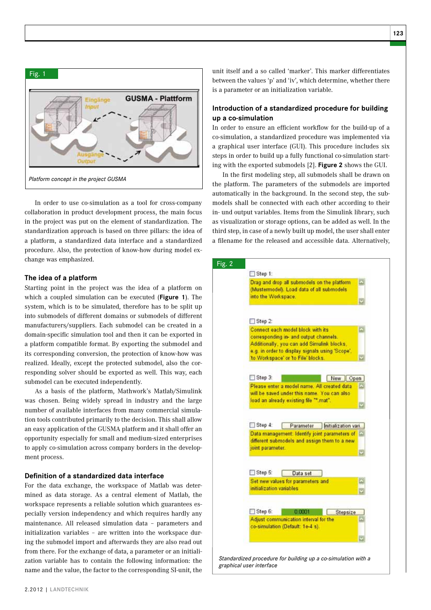

In order to use co-simulation as a tool for cross-company collaboration in product development process, the main focus in the project was put on the element of standardization. The standardization approach is based on three pillars: the idea of a platform, a standardized data interface and a standardized procedure. Also, the protection of know-how during model exchange was emphasized.

#### **The idea of a platform**

Starting point in the project was the idea of a platform on which a coupled simulation can be executed (**Figure 1**). The system, which is to be simulated, therefore has to be split up into submodels of different domains or submodels of different manufacturers/suppliers. Each submodel can be created in a domain-specific simulation tool and then it can be exported in a platform compatible format. By exporting the submodel and its corresponding conversion, the protection of know-how was realized. Ideally, except the protected submodel, also the corresponding solver should be exported as well. This way, each submodel can be executed independently.

As a basis of the platform, Mathwork's Matlab/Simulink was chosen. Being widely spread in industry and the large number of available interfaces from many commercial simulation tools contributed primarily to the decision. This shall allow an easy application of the GUSMA platform and it shall offer an opportunity especially for small and medium-sized enterprises to apply co-simulation across company borders in the development process.

### **Definition of a standardized data interface**

For the data exchange, the workspace of Matlab was determined as data storage. As a central element of Matlab, the workspace represents a reliable solution which guarantees especially version independency and which requires hardly any maintenance. All released simulation data – parameters and initialization variables – are written into the workspace during the submodel import and afterwards they are also read out from there. For the exchange of data, a parameter or an initialization variable has to contain the following information: the name and the value, the factor to the corresponding SI-unit, the

unit itself and a so called 'marker'. This marker differentiates between the values 'p' and 'iv', which determine, whether there is a parameter or an initialization variable.

## **Introduction of a standardized procedure for building up a co-simulation**

In order to ensure an efficient workflow for the build-up of a co-simulation, a standardized procedure was implemented via a graphical user interface (GUI). This procedure includes six steps in order to build up a fully functional co-simulation starting with the exported submodels [2]. **Figure 2** shows the GUI.

In the first modeling step, all submodels shall be drawn on the platform. The parameters of the submodels are imported automatically in the background. In the second step, the submodels shall be connected with each other according to their in- und output variables. Items from the Simulink library, such as visualization or storage options, can be added as well. In the third step, in case of a newly built up model, the user shall enter a filename for the released and accessible data. Alternatively,

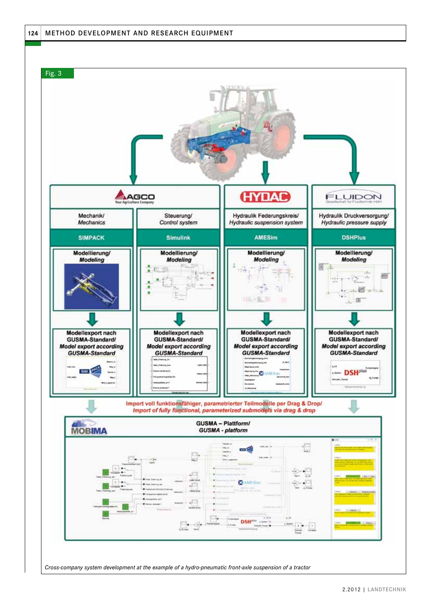